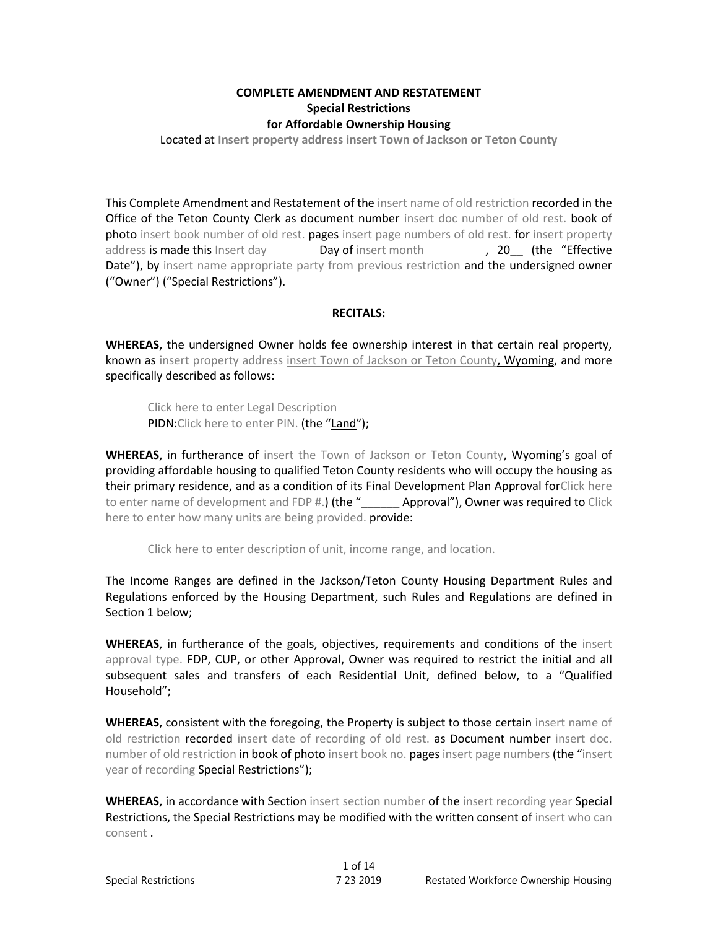# **COMPLETE AMENDMENT AND RESTATEMENT Special Restrictions for Affordable Ownership Housing**

Located at **Insert property address insert Town of Jackson or Teton County**

This Complete Amendment and Restatement of the insert name of old restriction recorded in the Office of the Teton County Clerk as document number insert doc number of old rest. book of photo insert book number of old rest. pages insert page numbers of old rest. for insert property address is made this Insert day **Day of** insert month **, 20** (the "Effective Date"), by insert name appropriate party from previous restriction and the undersigned owner ("Owner") ("Special Restrictions").

### **RECITALS:**

**WHEREAS**, the undersigned Owner holds fee ownership interest in that certain real property, known as insert property address insert Town of Jackson or Teton County, Wyoming, and more specifically described as follows:

Click here to enter Legal Description PIDN: Click here to enter PIN. (the "Land");

**WHEREAS**, in furtherance of insert the Town of Jackson or Teton County, Wyoming's goal of providing affordable housing to qualified Teton County residents who will occupy the housing as their primary residence, and as a condition of its Final Development Plan Approval forClick here to enter name of development and FDP #.) (the "\_\_\_\_\_\_\_ Approval"), Owner was required to Click here to enter how many units are being provided. provide:

Click here to enter description of unit, income range, and location.

The Income Ranges are defined in the Jackson/Teton County Housing Department Rules and Regulations enforced by the Housing Department, such Rules and Regulations are defined in Section 1 below;

**WHEREAS**, in furtherance of the goals, objectives, requirements and conditions of the insert approval type. FDP, CUP, or other Approval, Owner was required to restrict the initial and all subsequent sales and transfers of each Residential Unit, defined below, to a "Qualified Household";

**WHEREAS**, consistent with the foregoing, the Property is subject to those certain insert name of old restriction recorded insert date of recording of old rest. as Document number insert doc. number of old restriction in book of photo insert book no. pages insert page numbers (the "insert year of recording Special Restrictions");

**WHEREAS**, in accordance with Section insert section number of the insert recording year Special Restrictions, the Special Restrictions may be modified with the written consent of insert who can consent .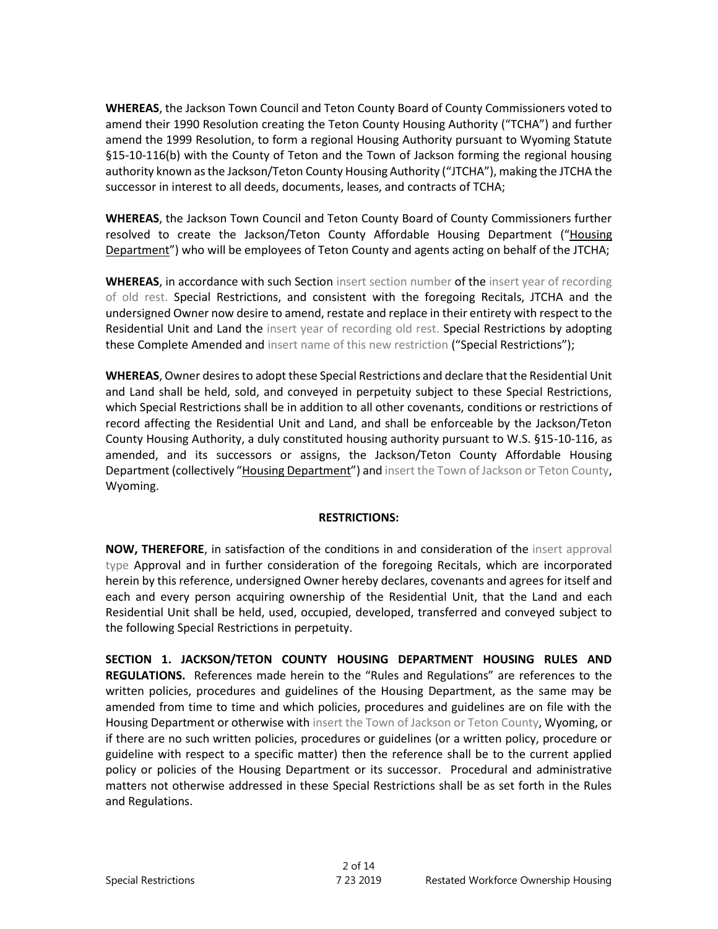**WHEREAS**, the Jackson Town Council and Teton County Board of County Commissioners voted to amend their 1990 Resolution creating the Teton County Housing Authority ("TCHA") and further amend the 1999 Resolution, to form a regional Housing Authority pursuant to Wyoming Statute §15-10-116(b) with the County of Teton and the Town of Jackson forming the regional housing authority known as the Jackson/Teton County Housing Authority ("JTCHA"), making the JTCHA the successor in interest to all deeds, documents, leases, and contracts of TCHA;

**WHEREAS**, the Jackson Town Council and Teton County Board of County Commissioners further resolved to create the Jackson/Teton County Affordable Housing Department ("Housing Department") who will be employees of Teton County and agents acting on behalf of the JTCHA;

**WHEREAS**, in accordance with such Section insert section number of the insert year of recording of old rest. Special Restrictions, and consistent with the foregoing Recitals, JTCHA and the undersigned Owner now desire to amend, restate and replace in their entirety with respect to the Residential Unit and Land the insert year of recording old rest. Special Restrictions by adopting these Complete Amended and insert name of this new restriction ("Special Restrictions");

**WHEREAS**, Owner desires to adopt these Special Restrictions and declare that the Residential Unit and Land shall be held, sold, and conveyed in perpetuity subject to these Special Restrictions, which Special Restrictions shall be in addition to all other covenants, conditions or restrictions of record affecting the Residential Unit and Land, and shall be enforceable by the Jackson/Teton County Housing Authority, a duly constituted housing authority pursuant to W.S. §15-10-116, as amended, and its successors or assigns, the Jackson/Teton County Affordable Housing Department (collectively "Housing Department") and insert the Town of Jackson or Teton County, Wyoming.

### **RESTRICTIONS:**

**NOW, THEREFORE**, in satisfaction of the conditions in and consideration of the insert approval type Approval and in further consideration of the foregoing Recitals, which are incorporated herein by this reference, undersigned Owner hereby declares, covenants and agrees for itself and each and every person acquiring ownership of the Residential Unit, that the Land and each Residential Unit shall be held, used, occupied, developed, transferred and conveyed subject to the following Special Restrictions in perpetuity.

**SECTION 1. JACKSON/TETON COUNTY HOUSING DEPARTMENT HOUSING RULES AND REGULATIONS.** References made herein to the "Rules and Regulations" are references to the written policies, procedures and guidelines of the Housing Department, as the same may be amended from time to time and which policies, procedures and guidelines are on file with the Housing Department or otherwise with insert the Town of Jackson or Teton County, Wyoming, or if there are no such written policies, procedures or guidelines (or a written policy, procedure or guideline with respect to a specific matter) then the reference shall be to the current applied policy or policies of the Housing Department or its successor. Procedural and administrative matters not otherwise addressed in these Special Restrictions shall be as set forth in the Rules and Regulations.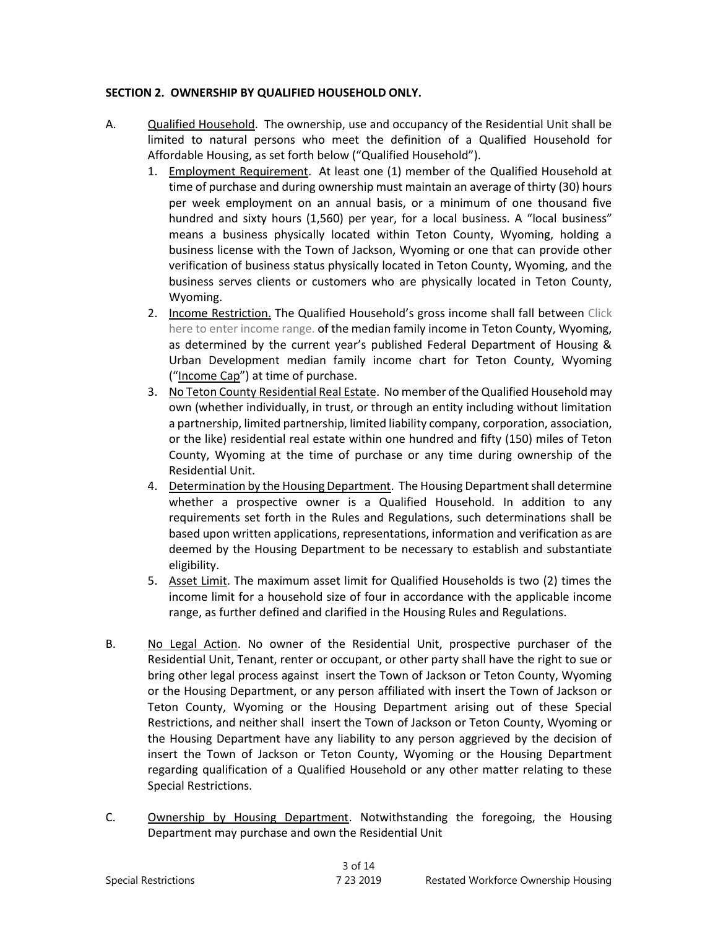# **SECTION 2. OWNERSHIP BY QUALIFIED HOUSEHOLD ONLY.**

- A. Qualified Household.The ownership, use and occupancy of the Residential Unit shall be limited to natural persons who meet the definition of a Qualified Household for Affordable Housing, as set forth below ("Qualified Household").
	- 1. Employment Requirement. At least one (1) member of the Qualified Household at time of purchase and during ownership must maintain an average of thirty (30) hours per week employment on an annual basis, or a minimum of one thousand five hundred and sixty hours (1,560) per year, for a local business. A "local business" means a business physically located within Teton County, Wyoming, holding a business license with the Town of Jackson, Wyoming or one that can provide other verification of business status physically located in Teton County, Wyoming, and the business serves clients or customers who are physically located in Teton County, Wyoming.
	- 2. Income Restriction. The Qualified Household's gross income shall fall between Click here to enter income range. of the median family income in Teton County, Wyoming, as determined by the current year's published Federal Department of Housing & Urban Development median family income chart for Teton County, Wyoming ("Income Cap") at time of purchase.
	- 3. No Teton County Residential Real Estate. No member of the Qualified Household may own (whether individually, in trust, or through an entity including without limitation a partnership, limited partnership, limited liability company, corporation, association, or the like) residential real estate within one hundred and fifty (150) miles of Teton County, Wyoming at the time of purchase or any time during ownership of the Residential Unit.
	- 4. Determination by the Housing Department. The Housing Department shall determine whether a prospective owner is a Qualified Household. In addition to any requirements set forth in the Rules and Regulations, such determinations shall be based upon written applications, representations, information and verification as are deemed by the Housing Department to be necessary to establish and substantiate eligibility.
	- 5. Asset Limit. The maximum asset limit for Qualified Households is two (2) times the income limit for a household size of four in accordance with the applicable income range, as further defined and clarified in the Housing Rules and Regulations.
- B. No Legal Action. No owner of the Residential Unit, prospective purchaser of the Residential Unit, Tenant, renter or occupant, or other party shall have the right to sue or bring other legal process against insert the Town of Jackson or Teton County, Wyoming or the Housing Department, or any person affiliated with insert the Town of Jackson or Teton County, Wyoming or the Housing Department arising out of these Special Restrictions, and neither shall insert the Town of Jackson or Teton County, Wyoming or the Housing Department have any liability to any person aggrieved by the decision of insert the Town of Jackson or Teton County, Wyoming or the Housing Department regarding qualification of a Qualified Household or any other matter relating to these Special Restrictions.
- C. Ownership by Housing Department. Notwithstanding the foregoing, the Housing Department may purchase and own the Residential Unit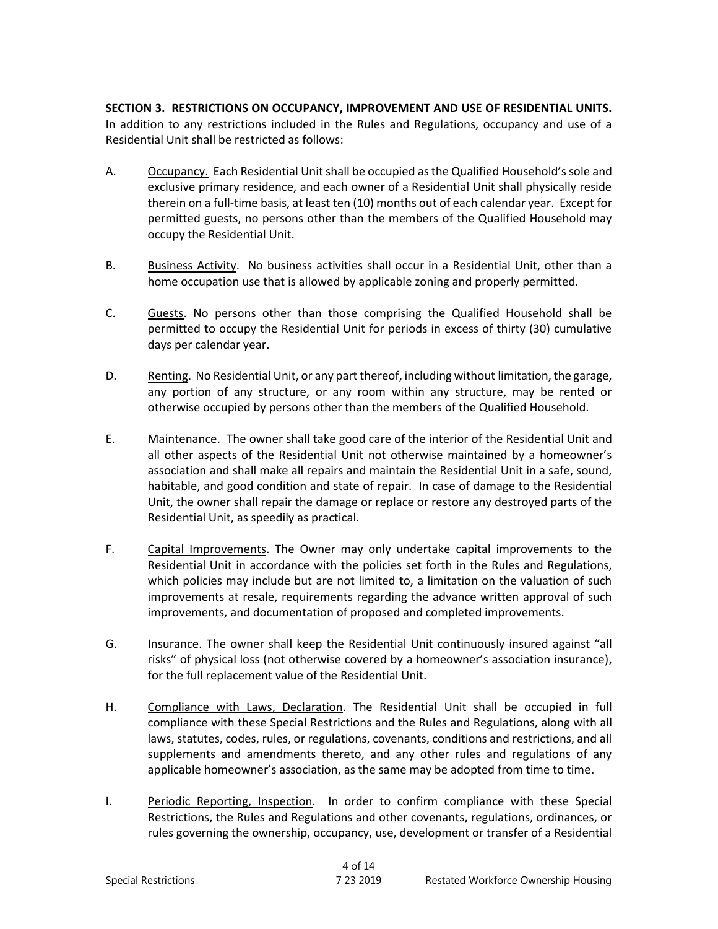**SECTION 3. RESTRICTIONS ON OCCUPANCY, IMPROVEMENT AND USE OF RESIDENTIAL UNITS.** In addition to any restrictions included in the Rules and Regulations, occupancy and use of a Residential Unit shall be restricted as follows:

- A. Occupancy. Each Residential Unit shall be occupied as the Qualified Household's sole and exclusive primary residence, and each owner of a Residential Unit shall physically reside therein on a full-time basis, at least ten (10) months out of each calendar year. Except for permitted guests, no persons other than the members of the Qualified Household may occupy the Residential Unit.
- B. Business Activity. No business activities shall occur in a Residential Unit, other than a home occupation use that is allowed by applicable zoning and properly permitted.
- C. Guests. No persons other than those comprising the Qualified Household shall be permitted to occupy the Residential Unit for periods in excess of thirty (30) cumulative days per calendar year.
- D. Renting. No Residential Unit, or any part thereof, including without limitation, the garage, any portion of any structure, or any room within any structure, may be rented or otherwise occupied by persons other than the members of the Qualified Household.
- E. Maintenance. The owner shall take good care of the interior of the Residential Unit and all other aspects of the Residential Unit not otherwise maintained by a homeowner's association and shall make all repairs and maintain the Residential Unit in a safe, sound, habitable, and good condition and state of repair. In case of damage to the Residential Unit, the owner shall repair the damage or replace or restore any destroyed parts of the Residential Unit, as speedily as practical.
- F. Capital Improvements. The Owner may only undertake capital improvements to the Residential Unit in accordance with the policies set forth in the Rules and Regulations, which policies may include but are not limited to, a limitation on the valuation of such improvements at resale, requirements regarding the advance written approval of such improvements, and documentation of proposed and completed improvements.
- G. Insurance. The owner shall keep the Residential Unit continuously insured against "all risks" of physical loss (not otherwise covered by a homeowner's association insurance), for the full replacement value of the Residential Unit.
- H. Compliance with Laws, Declaration. The Residential Unit shall be occupied in full compliance with these Special Restrictions and the Rules and Regulations, along with all laws, statutes, codes, rules, or regulations, covenants, conditions and restrictions, and all supplements and amendments thereto, and any other rules and regulations of any applicable homeowner's association, as the same may be adopted from time to time.
- I. Periodic Reporting, Inspection. In order to confirm compliance with these Special Restrictions, the Rules and Regulations and other covenants, regulations, ordinances, or rules governing the ownership, occupancy, use, development or transfer of a Residential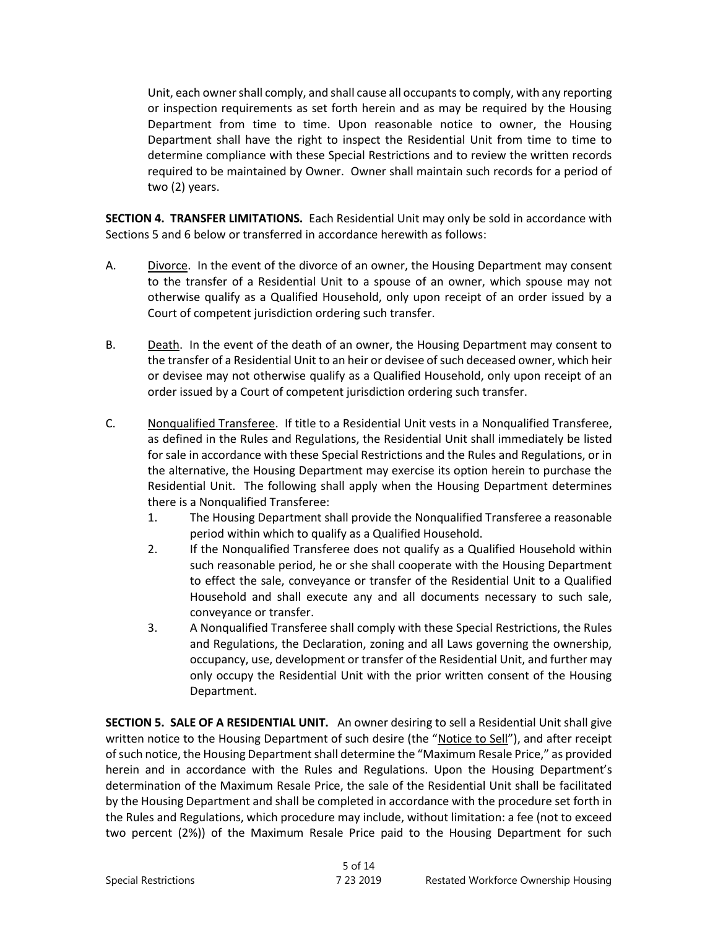Unit, each owner shall comply, and shall cause all occupants to comply, with any reporting or inspection requirements as set forth herein and as may be required by the Housing Department from time to time. Upon reasonable notice to owner, the Housing Department shall have the right to inspect the Residential Unit from time to time to determine compliance with these Special Restrictions and to review the written records required to be maintained by Owner. Owner shall maintain such records for a period of two (2) years.

**SECTION 4. TRANSFER LIMITATIONS.** Each Residential Unit may only be sold in accordance with Sections 5 and 6 below or transferred in accordance herewith as follows:

- A. Divorce. In the event of the divorce of an owner, the Housing Department may consent to the transfer of a Residential Unit to a spouse of an owner, which spouse may not otherwise qualify as a Qualified Household, only upon receipt of an order issued by a Court of competent jurisdiction ordering such transfer.
- B. Death. In the event of the death of an owner, the Housing Department may consent to the transfer of a Residential Unit to an heir or devisee of such deceased owner, which heir or devisee may not otherwise qualify as a Qualified Household, only upon receipt of an order issued by a Court of competent jurisdiction ordering such transfer.
- C. Nonqualified Transferee. If title to a Residential Unit vests in a Nonqualified Transferee, as defined in the Rules and Regulations, the Residential Unit shall immediately be listed for sale in accordance with these Special Restrictions and the Rules and Regulations, or in the alternative, the Housing Department may exercise its option herein to purchase the Residential Unit. The following shall apply when the Housing Department determines there is a Nonqualified Transferee:
	- 1. The Housing Department shall provide the Nonqualified Transferee a reasonable period within which to qualify as a Qualified Household.
	- 2. If the Nonqualified Transferee does not qualify as a Qualified Household within such reasonable period, he or she shall cooperate with the Housing Department to effect the sale, conveyance or transfer of the Residential Unit to a Qualified Household and shall execute any and all documents necessary to such sale, conveyance or transfer.
	- 3. A Nonqualified Transferee shall comply with these Special Restrictions, the Rules and Regulations, the Declaration, zoning and all Laws governing the ownership, occupancy, use, development or transfer of the Residential Unit, and further may only occupy the Residential Unit with the prior written consent of the Housing Department.

**SECTION 5. SALE OF A RESIDENTIAL UNIT.** An owner desiring to sell a Residential Unit shall give written notice to the Housing Department of such desire (the "Notice to Sell"), and after receipt of such notice, the Housing Department shall determine the "Maximum Resale Price," as provided herein and in accordance with the Rules and Regulations. Upon the Housing Department's determination of the Maximum Resale Price, the sale of the Residential Unit shall be facilitated by the Housing Department and shall be completed in accordance with the procedure set forth in the Rules and Regulations, which procedure may include, without limitation: a fee (not to exceed two percent (2%)) of the Maximum Resale Price paid to the Housing Department for such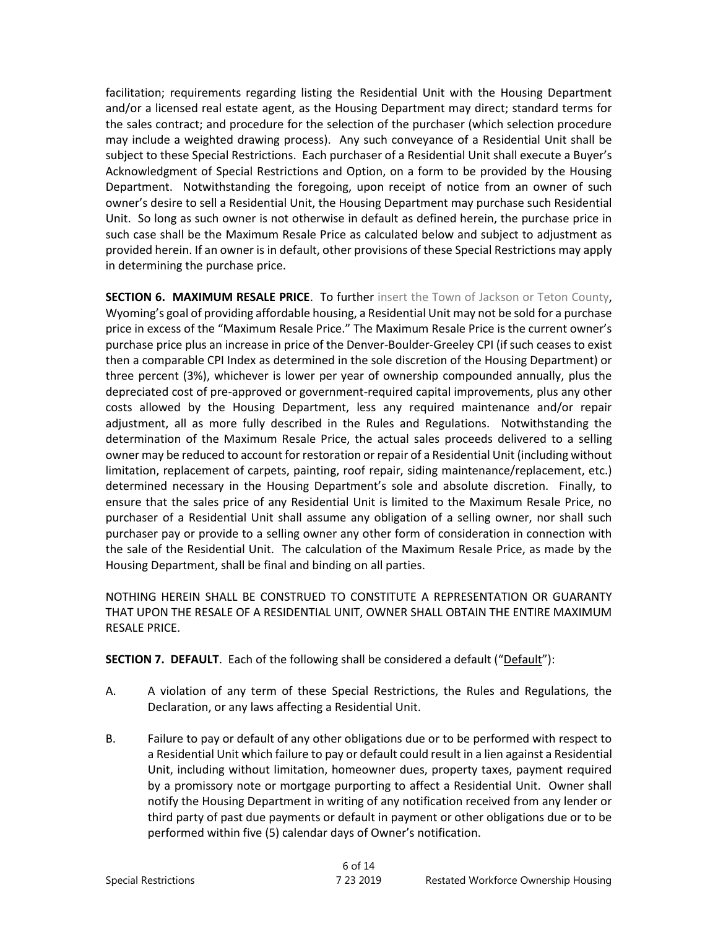facilitation; requirements regarding listing the Residential Unit with the Housing Department and/or a licensed real estate agent, as the Housing Department may direct; standard terms for the sales contract; and procedure for the selection of the purchaser (which selection procedure may include a weighted drawing process). Any such conveyance of a Residential Unit shall be subject to these Special Restrictions. Each purchaser of a Residential Unit shall execute a Buyer's Acknowledgment of Special Restrictions and Option, on a form to be provided by the Housing Department. Notwithstanding the foregoing, upon receipt of notice from an owner of such owner's desire to sell a Residential Unit, the Housing Department may purchase such Residential Unit. So long as such owner is not otherwise in default as defined herein, the purchase price in such case shall be the Maximum Resale Price as calculated below and subject to adjustment as provided herein. If an owner is in default, other provisions of these Special Restrictions may apply in determining the purchase price.

**SECTION 6. MAXIMUM RESALE PRICE**. To further insert the Town of Jackson or Teton County, Wyoming's goal of providing affordable housing, a Residential Unit may not be sold for a purchase price in excess of the "Maximum Resale Price." The Maximum Resale Price is the current owner's purchase price plus an increase in price of the Denver-Boulder-Greeley CPI (if such ceases to exist then a comparable CPI Index as determined in the sole discretion of the Housing Department) or three percent (3%), whichever is lower per year of ownership compounded annually, plus the depreciated cost of pre-approved or government-required capital improvements, plus any other costs allowed by the Housing Department, less any required maintenance and/or repair adjustment, all as more fully described in the Rules and Regulations. Notwithstanding the determination of the Maximum Resale Price, the actual sales proceeds delivered to a selling owner may be reduced to account for restoration or repair of a Residential Unit (including without limitation, replacement of carpets, painting, roof repair, siding maintenance/replacement, etc.) determined necessary in the Housing Department's sole and absolute discretion. Finally, to ensure that the sales price of any Residential Unit is limited to the Maximum Resale Price, no purchaser of a Residential Unit shall assume any obligation of a selling owner, nor shall such purchaser pay or provide to a selling owner any other form of consideration in connection with the sale of the Residential Unit. The calculation of the Maximum Resale Price, as made by the Housing Department, shall be final and binding on all parties.

NOTHING HEREIN SHALL BE CONSTRUED TO CONSTITUTE A REPRESENTATION OR GUARANTY THAT UPON THE RESALE OF A RESIDENTIAL UNIT, OWNER SHALL OBTAIN THE ENTIRE MAXIMUM RESALE PRICE.

**SECTION 7. DEFAULT**. Each of the following shall be considered a default ("Default"):

- A. A violation of any term of these Special Restrictions, the Rules and Regulations, the Declaration, or any laws affecting a Residential Unit.
- B. Failure to pay or default of any other obligations due or to be performed with respect to a Residential Unit which failure to pay or default could result in a lien against a Residential Unit, including without limitation, homeowner dues, property taxes, payment required by a promissory note or mortgage purporting to affect a Residential Unit. Owner shall notify the Housing Department in writing of any notification received from any lender or third party of past due payments or default in payment or other obligations due or to be performed within five (5) calendar days of Owner's notification.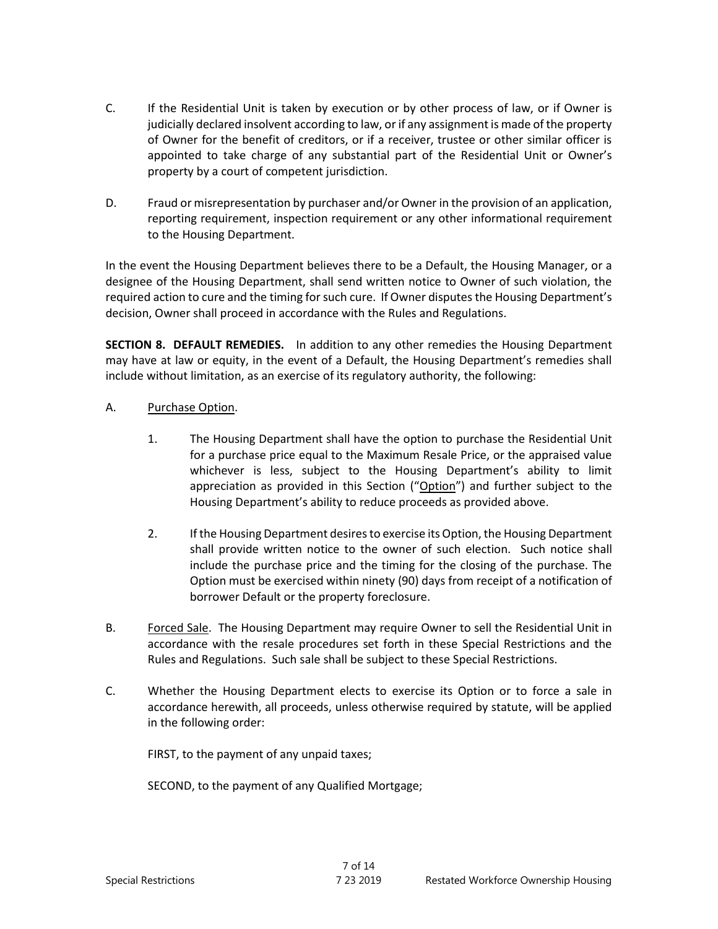- C. If the Residential Unit is taken by execution or by other process of law, or if Owner is judicially declared insolvent according to law, or if any assignment is made of the property of Owner for the benefit of creditors, or if a receiver, trustee or other similar officer is appointed to take charge of any substantial part of the Residential Unit or Owner's property by a court of competent jurisdiction.
- D. Fraud or misrepresentation by purchaser and/or Owner in the provision of an application, reporting requirement, inspection requirement or any other informational requirement to the Housing Department.

In the event the Housing Department believes there to be a Default, the Housing Manager, or a designee of the Housing Department, shall send written notice to Owner of such violation, the required action to cure and the timing for such cure. If Owner disputes the Housing Department's decision, Owner shall proceed in accordance with the Rules and Regulations.

**SECTION 8. DEFAULT REMEDIES.** In addition to any other remedies the Housing Department may have at law or equity, in the event of a Default, the Housing Department's remedies shall include without limitation, as an exercise of its regulatory authority, the following:

- A. Purchase Option.
	- 1. The Housing Department shall have the option to purchase the Residential Unit for a purchase price equal to the Maximum Resale Price, or the appraised value whichever is less, subject to the Housing Department's ability to limit appreciation as provided in this Section ("Option") and further subject to the Housing Department's ability to reduce proceeds as provided above.
	- 2. If the Housing Department desires to exercise its Option, the Housing Department shall provide written notice to the owner of such election. Such notice shall include the purchase price and the timing for the closing of the purchase. The Option must be exercised within ninety (90) days from receipt of a notification of borrower Default or the property foreclosure.
- B. Forced Sale. The Housing Department may require Owner to sell the Residential Unit in accordance with the resale procedures set forth in these Special Restrictions and the Rules and Regulations. Such sale shall be subject to these Special Restrictions.
- C. Whether the Housing Department elects to exercise its Option or to force a sale in accordance herewith, all proceeds, unless otherwise required by statute, will be applied in the following order:

FIRST, to the payment of any unpaid taxes;

SECOND, to the payment of any Qualified Mortgage;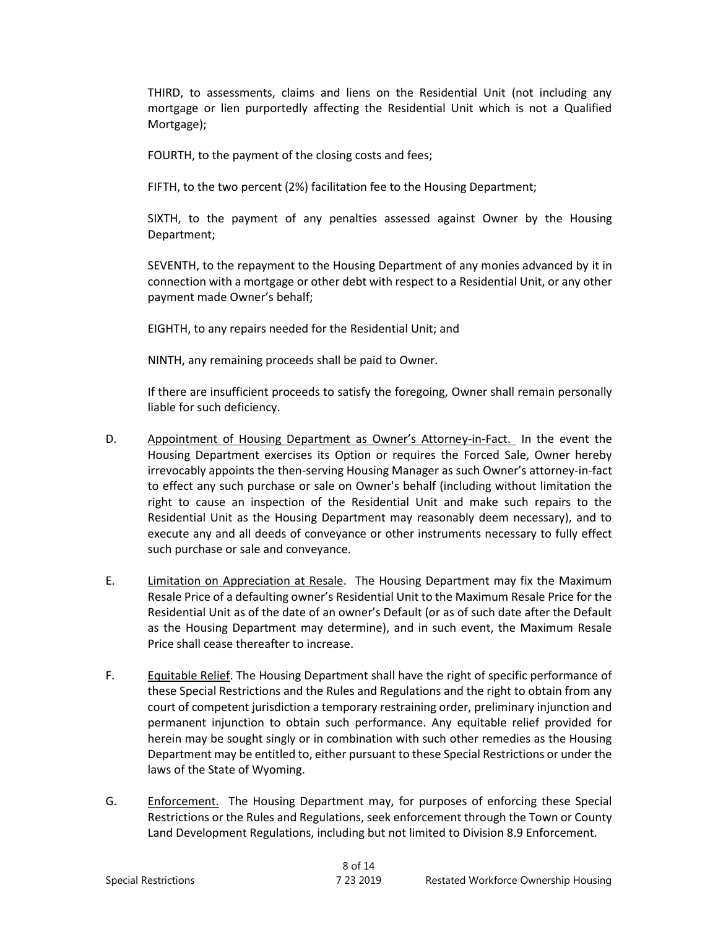THIRD, to assessments, claims and liens on the Residential Unit (not including any mortgage or lien purportedly affecting the Residential Unit which is not a Qualified Mortgage);

FOURTH, to the payment of the closing costs and fees;

FIFTH, to the two percent (2%) facilitation fee to the Housing Department;

SIXTH, to the payment of any penalties assessed against Owner by the Housing Department;

SEVENTH, to the repayment to the Housing Department of any monies advanced by it in connection with a mortgage or other debt with respect to a Residential Unit, or any other payment made Owner's behalf;

EIGHTH, to any repairs needed for the Residential Unit; and

NINTH, any remaining proceeds shall be paid to Owner.

If there are insufficient proceeds to satisfy the foregoing, Owner shall remain personally liable for such deficiency.

- D. Appointment of Housing Department as Owner's Attorney-in-Fact. In the event the Housing Department exercises its Option or requires the Forced Sale, Owner hereby irrevocably appoints the then-serving Housing Manager as such Owner's attorney-in-fact to effect any such purchase or sale on Owner's behalf (including without limitation the right to cause an inspection of the Residential Unit and make such repairs to the Residential Unit as the Housing Department may reasonably deem necessary), and to execute any and all deeds of conveyance or other instruments necessary to fully effect such purchase or sale and conveyance.
- E. Limitation on Appreciation at Resale. The Housing Department may fix the Maximum Resale Price of a defaulting owner's Residential Unit to the Maximum Resale Price for the Residential Unit as of the date of an owner's Default (or as of such date after the Default as the Housing Department may determine), and in such event, the Maximum Resale Price shall cease thereafter to increase.
- F. Equitable Relief. The Housing Department shall have the right of specific performance of these Special Restrictions and the Rules and Regulations and the right to obtain from any court of competent jurisdiction a temporary restraining order, preliminary injunction and permanent injunction to obtain such performance. Any equitable relief provided for herein may be sought singly or in combination with such other remedies as the Housing Department may be entitled to, either pursuant to these Special Restrictions or under the laws of the State of Wyoming.
- G. Enforcement. The Housing Department may, for purposes of enforcing these Special Restrictions or the Rules and Regulations, seek enforcement through the Town or County Land Development Regulations, including but not limited to Division 8.9 Enforcement.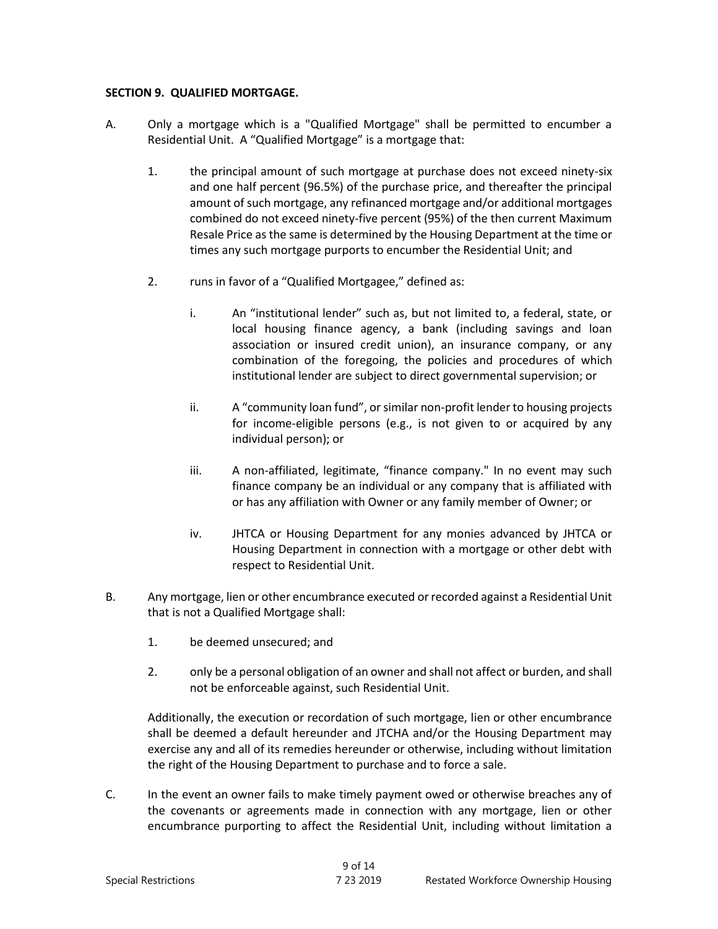#### **SECTION 9. QUALIFIED MORTGAGE.**

- A. Only a mortgage which is a "Qualified Mortgage" shall be permitted to encumber a Residential Unit. A "Qualified Mortgage" is a mortgage that:
	- 1. the principal amount of such mortgage at purchase does not exceed ninety-six and one half percent (96.5%) of the purchase price, and thereafter the principal amount of such mortgage, any refinanced mortgage and/or additional mortgages combined do not exceed ninety-five percent (95%) of the then current Maximum Resale Price as the same is determined by the Housing Department at the time or times any such mortgage purports to encumber the Residential Unit; and
	- 2. Tuns in favor of a "Qualified Mortgagee," defined as:
		- i. An "institutional lender" such as, but not limited to, a federal, state, or local housing finance agency, a bank (including savings and loan association or insured credit union), an insurance company, or any combination of the foregoing, the policies and procedures of which institutional lender are subject to direct governmental supervision; or
		- ii. A "community loan fund", or similar non-profit lender to housing projects for income-eligible persons (e.g., is not given to or acquired by any individual person); or
		- iii. A non-affiliated, legitimate, "finance company." In no event may such finance company be an individual or any company that is affiliated with or has any affiliation with Owner or any family member of Owner; or
		- iv. JHTCA or Housing Department for any monies advanced by JHTCA or Housing Department in connection with a mortgage or other debt with respect to Residential Unit.
- B. Any mortgage, lien or other encumbrance executed or recorded against a Residential Unit that is not a Qualified Mortgage shall:
	- 1. be deemed unsecured; and
	- 2. only be a personal obligation of an owner and shall not affect or burden, and shall not be enforceable against, such Residential Unit.

Additionally, the execution or recordation of such mortgage, lien or other encumbrance shall be deemed a default hereunder and JTCHA and/or the Housing Department may exercise any and all of its remedies hereunder or otherwise, including without limitation the right of the Housing Department to purchase and to force a sale.

C. In the event an owner fails to make timely payment owed or otherwise breaches any of the covenants or agreements made in connection with any mortgage, lien or other encumbrance purporting to affect the Residential Unit, including without limitation a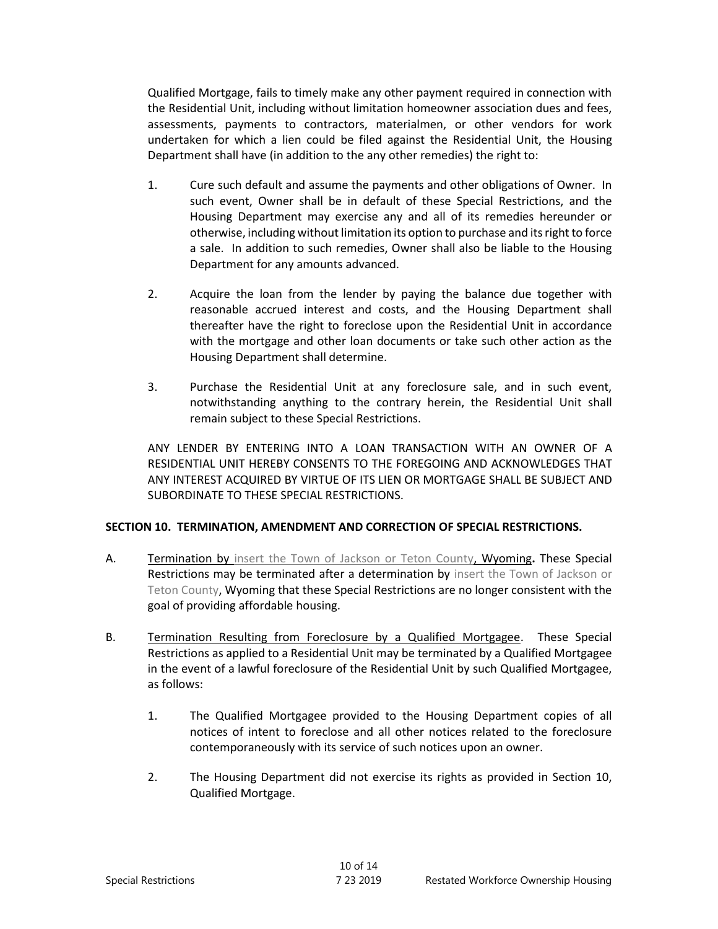Qualified Mortgage, fails to timely make any other payment required in connection with the Residential Unit, including without limitation homeowner association dues and fees, assessments, payments to contractors, materialmen, or other vendors for work undertaken for which a lien could be filed against the Residential Unit, the Housing Department shall have (in addition to the any other remedies) the right to:

- 1. Cure such default and assume the payments and other obligations of Owner. In such event, Owner shall be in default of these Special Restrictions, and the Housing Department may exercise any and all of its remedies hereunder or otherwise, including without limitation its option to purchase and its right to force a sale. In addition to such remedies, Owner shall also be liable to the Housing Department for any amounts advanced.
- 2. Acquire the loan from the lender by paying the balance due together with reasonable accrued interest and costs, and the Housing Department shall thereafter have the right to foreclose upon the Residential Unit in accordance with the mortgage and other loan documents or take such other action as the Housing Department shall determine.
- 3. Purchase the Residential Unit at any foreclosure sale, and in such event, notwithstanding anything to the contrary herein, the Residential Unit shall remain subject to these Special Restrictions.

ANY LENDER BY ENTERING INTO A LOAN TRANSACTION WITH AN OWNER OF A RESIDENTIAL UNIT HEREBY CONSENTS TO THE FOREGOING AND ACKNOWLEDGES THAT ANY INTEREST ACQUIRED BY VIRTUE OF ITS LIEN OR MORTGAGE SHALL BE SUBJECT AND SUBORDINATE TO THESE SPECIAL RESTRICTIONS.

### **SECTION 10. TERMINATION, AMENDMENT AND CORRECTION OF SPECIAL RESTRICTIONS.**

- A. Termination by insert the Town of Jackson or Teton County, Wyoming**.** These Special Restrictions may be terminated after a determination by insert the Town of Jackson or Teton County, Wyoming that these Special Restrictions are no longer consistent with the goal of providing affordable housing.
- B. Termination Resulting from Foreclosure by a Qualified Mortgagee. These Special Restrictions as applied to a Residential Unit may be terminated by a Qualified Mortgagee in the event of a lawful foreclosure of the Residential Unit by such Qualified Mortgagee, as follows:
	- 1. The Qualified Mortgagee provided to the Housing Department copies of all notices of intent to foreclose and all other notices related to the foreclosure contemporaneously with its service of such notices upon an owner.
	- 2. The Housing Department did not exercise its rights as provided in Section 10, Qualified Mortgage.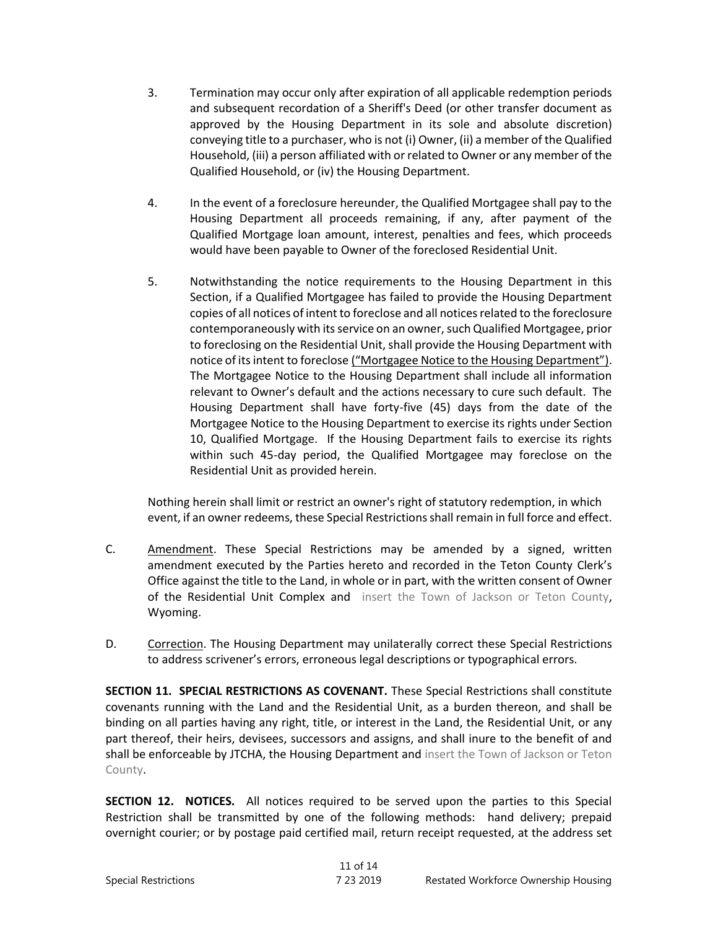- 3. Termination may occur only after expiration of all applicable redemption periods and subsequent recordation of a Sheriff's Deed (or other transfer document as approved by the Housing Department in its sole and absolute discretion) conveying title to a purchaser, who is not (i) Owner, (ii) a member of the Qualified Household, (iii) a person affiliated with or related to Owner or any member of the Qualified Household, or (iv) the Housing Department.
- 4. In the event of a foreclosure hereunder, the Qualified Mortgagee shall pay to the Housing Department all proceeds remaining, if any, after payment of the Qualified Mortgage loan amount, interest, penalties and fees, which proceeds would have been payable to Owner of the foreclosed Residential Unit.
- 5. Notwithstanding the notice requirements to the Housing Department in this Section, if a Qualified Mortgagee has failed to provide the Housing Department copies of all notices of intent to foreclose and all notices related to the foreclosure contemporaneously with its service on an owner, such Qualified Mortgagee, prior to foreclosing on the Residential Unit, shall provide the Housing Department with notice of its intent to foreclose ("Mortgagee Notice to the Housing Department"). The Mortgagee Notice to the Housing Department shall include all information relevant to Owner's default and the actions necessary to cure such default. The Housing Department shall have forty-five (45) days from the date of the Mortgagee Notice to the Housing Department to exercise its rights under Section 10, Qualified Mortgage. If the Housing Department fails to exercise its rights within such 45-day period, the Qualified Mortgagee may foreclose on the Residential Unit as provided herein.

Nothing herein shall limit or restrict an owner's right of statutory redemption, in which event, if an owner redeems, these Special Restrictions shall remain in full force and effect.

- C. Amendment. These Special Restrictions may be amended by a signed, written amendment executed by the Parties hereto and recorded in the Teton County Clerk's Office against the title to the Land, in whole or in part, with the written consent of Owner of the Residential Unit Complex and insert the Town of Jackson or Teton County, Wyoming.
- D. Correction. The Housing Department may unilaterally correct these Special Restrictions to address scrivener's errors, erroneous legal descriptions or typographical errors.

**SECTION 11. SPECIAL RESTRICTIONS AS COVENANT.** These Special Restrictions shall constitute covenants running with the Land and the Residential Unit, as a burden thereon, and shall be binding on all parties having any right, title, or interest in the Land, the Residential Unit, or any part thereof, their heirs, devisees, successors and assigns, and shall inure to the benefit of and shall be enforceable by JTCHA, the Housing Department and insert the Town of Jackson or Teton County.

**SECTION 12. NOTICES.** All notices required to be served upon the parties to this Special Restriction shall be transmitted by one of the following methods: hand delivery; prepaid overnight courier; or by postage paid certified mail, return receipt requested, at the address set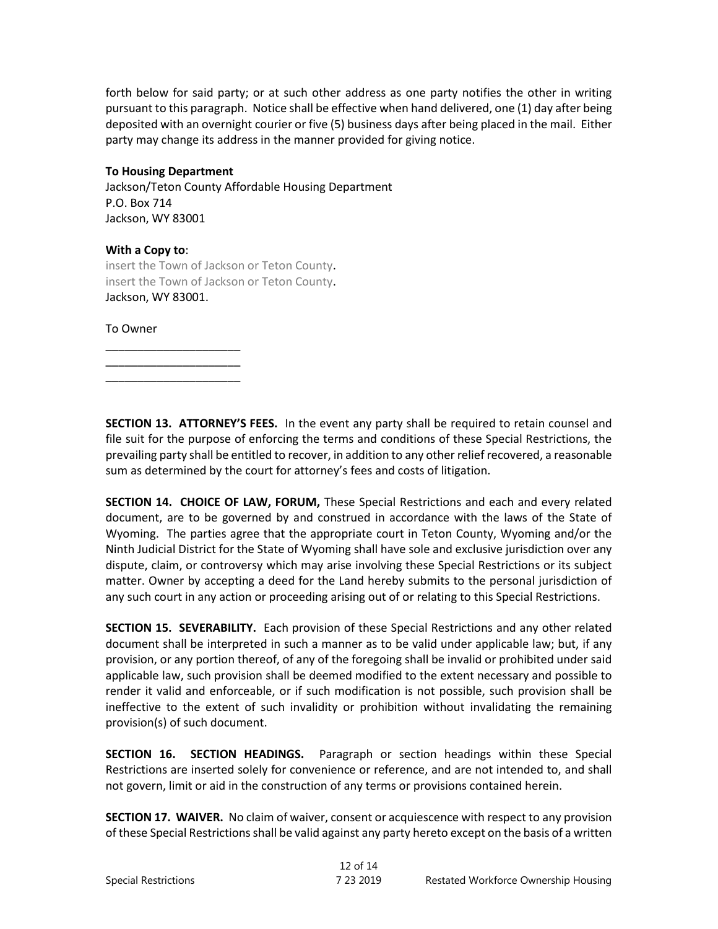forth below for said party; or at such other address as one party notifies the other in writing pursuant to this paragraph. Notice shall be effective when hand delivered, one (1) day after being deposited with an overnight courier or five (5) business days after being placed in the mail. Either party may change its address in the manner provided for giving notice.

### **To Housing Department**

\_\_\_\_\_\_\_\_\_\_\_\_\_\_\_\_\_\_\_\_\_ \_\_\_\_\_\_\_\_\_\_\_\_\_\_\_\_\_\_\_\_\_ \_\_\_\_\_\_\_\_\_\_\_\_\_\_\_\_\_\_\_\_\_

Jackson/Teton County Affordable Housing Department P.O. Box 714 Jackson, WY 83001

#### **With a Copy to**:

insert the Town of Jackson or Teton County. insert the Town of Jackson or Teton County. Jackson, WY 83001.

To Owner

**SECTION 13. ATTORNEY'S FEES.** In the event any party shall be required to retain counsel and file suit for the purpose of enforcing the terms and conditions of these Special Restrictions, the prevailing party shall be entitled to recover, in addition to any other relief recovered, a reasonable sum as determined by the court for attorney's fees and costs of litigation.

**SECTION 14. CHOICE OF LAW, FORUM,** These Special Restrictions and each and every related document, are to be governed by and construed in accordance with the laws of the State of Wyoming. The parties agree that the appropriate court in Teton County, Wyoming and/or the Ninth Judicial District for the State of Wyoming shall have sole and exclusive jurisdiction over any dispute, claim, or controversy which may arise involving these Special Restrictions or its subject matter. Owner by accepting a deed for the Land hereby submits to the personal jurisdiction of any such court in any action or proceeding arising out of or relating to this Special Restrictions.

**SECTION 15. SEVERABILITY.** Each provision of these Special Restrictions and any other related document shall be interpreted in such a manner as to be valid under applicable law; but, if any provision, or any portion thereof, of any of the foregoing shall be invalid or prohibited under said applicable law, such provision shall be deemed modified to the extent necessary and possible to render it valid and enforceable, or if such modification is not possible, such provision shall be ineffective to the extent of such invalidity or prohibition without invalidating the remaining provision(s) of such document.

**SECTION 16. SECTION HEADINGS.** Paragraph or section headings within these Special Restrictions are inserted solely for convenience or reference, and are not intended to, and shall not govern, limit or aid in the construction of any terms or provisions contained herein.

**SECTION 17. WAIVER.** No claim of waiver, consent or acquiescence with respect to any provision of these Special Restrictions shall be valid against any party hereto except on the basis of a written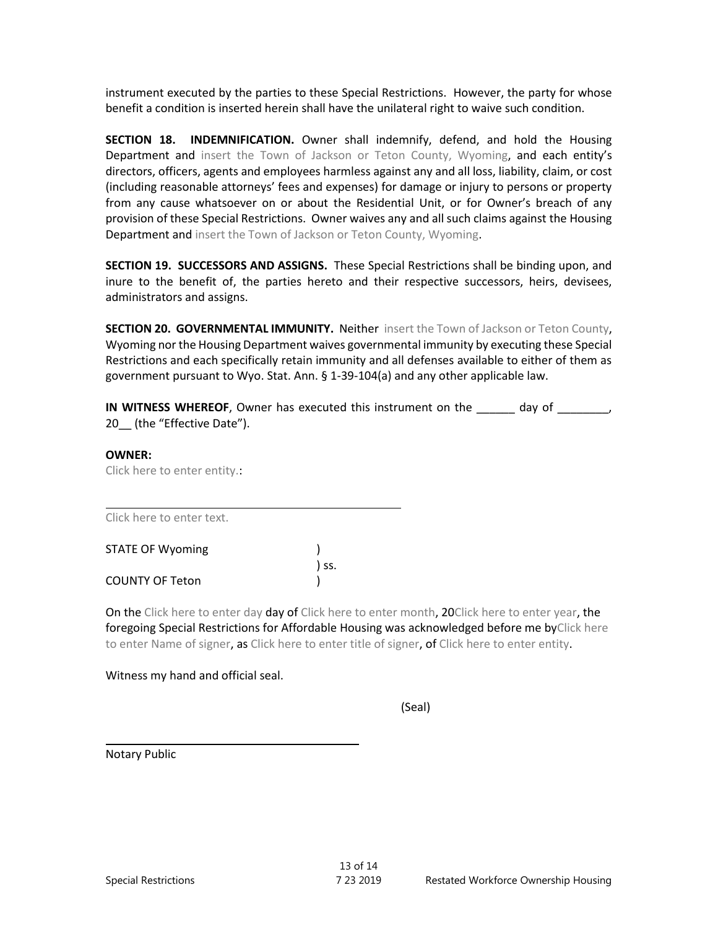instrument executed by the parties to these Special Restrictions. However, the party for whose benefit a condition is inserted herein shall have the unilateral right to waive such condition.

**SECTION 18. INDEMNIFICATION.** Owner shall indemnify, defend, and hold the Housing Department and insert the Town of Jackson or Teton County, Wyoming, and each entity's directors, officers, agents and employees harmless against any and all loss, liability, claim, or cost (including reasonable attorneys' fees and expenses) for damage or injury to persons or property from any cause whatsoever on or about the Residential Unit, or for Owner's breach of any provision of these Special Restrictions. Owner waives any and all such claims against the Housing Department and insert the Town of Jackson or Teton County, Wyoming.

**SECTION 19. SUCCESSORS AND ASSIGNS.** These Special Restrictions shall be binding upon, and inure to the benefit of, the parties hereto and their respective successors, heirs, devisees, administrators and assigns.

**SECTION 20. GOVERNMENTAL IMMUNITY.** Neither insert the Town of Jackson or Teton County, Wyoming nor the Housing Department waives governmental immunity by executing these Special Restrictions and each specifically retain immunity and all defenses available to either of them as government pursuant to Wyo. Stat. Ann. § 1-39-104(a) and any other applicable law.

**IN WITNESS WHEREOF**, Owner has executed this instrument on the day of  $\qquad \qquad$ , 20 (the "Effective Date").

#### **OWNER:**

Click here to enter entity.:

Click here to enter text.

| <b>STATE OF Wyoming</b> |       |
|-------------------------|-------|
|                         | ) SS. |
| <b>COUNTY OF Teton</b>  |       |

On the Click here to enter day day of Click here to enter month, 20Click here to enter year, the foregoing Special Restrictions for Affordable Housing was acknowledged before me byClick here to enter Name of signer, as Click here to enter title of signer, of Click here to enter entity.

Witness my hand and official seal.

(Seal)

Notary Public